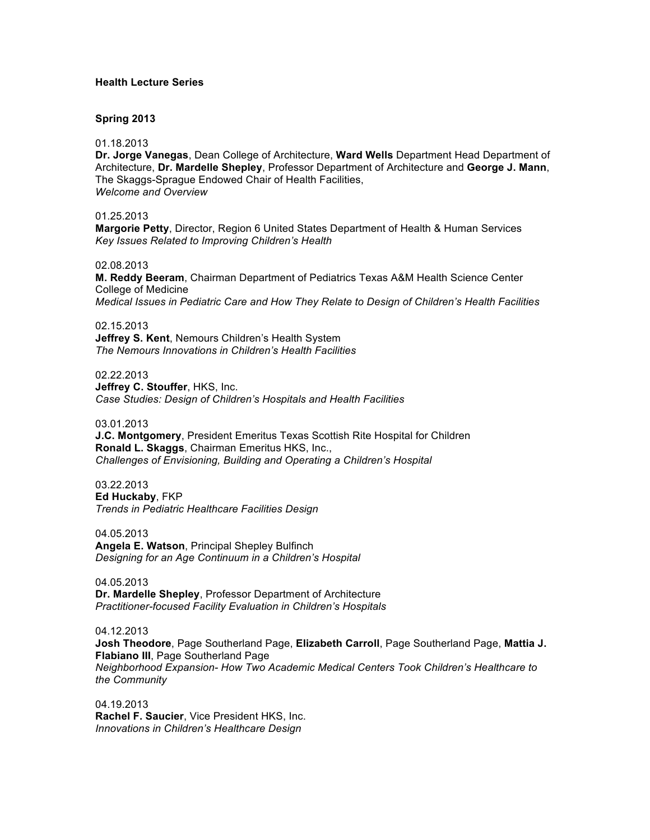# **Health Lecture Series**

### **Spring 2013**

01.18.2013

**Dr. Jorge Vanegas**, Dean College of Architecture, **Ward Wells** Department Head Department of Architecture, **Dr. Mardelle Shepley**, Professor Department of Architecture and **George J. Mann**, The Skaggs-Sprague Endowed Chair of Health Facilities, *Welcome and Overview*

01.25.2013

**Margorie Petty**, Director, Region 6 United States Department of Health & Human Services *Key Issues Related to Improving Children's Health*

02.08.2013

**M. Reddy Beeram**, Chairman Department of Pediatrics Texas A&M Health Science Center College of Medicine *Medical Issues in Pediatric Care and How They Relate to Design of Children's Health Facilities*

02.15.2013 **Jeffrey S. Kent**, Nemours Children's Health System *The Nemours Innovations in Children's Health Facilities*

02.22.2013 **Jeffrey C. Stouffer**, HKS, Inc. *Case Studies: Design of Children's Hospitals and Health Facilities*

03.01.2013

**J.C. Montgomery**, President Emeritus Texas Scottish Rite Hospital for Children **Ronald L. Skaggs**, Chairman Emeritus HKS, Inc., *Challenges of Envisioning, Building and Operating a Children's Hospital*

03.22.2013 **Ed Huckaby**, FKP *Trends in Pediatric Healthcare Facilities Design*

04.05.2013 **Angela E. Watson**, Principal Shepley Bulfinch *Designing for an Age Continuum in a Children's Hospital*

04.05.2013 **Dr. Mardelle Shepley**, Professor Department of Architecture *Practitioner-focused Facility Evaluation in Children's Hospitals*

04.12.2013 **Josh Theodore**, Page Southerland Page, **Elizabeth Carroll**, Page Southerland Page, **Mattia J. Flabiano III**, Page Southerland Page *Neighborhood Expansion- How Two Academic Medical Centers Took Children's Healthcare to the Community*

04.19.2013 **Rachel F. Saucier**, Vice President HKS, Inc. *Innovations in Children's Healthcare Design*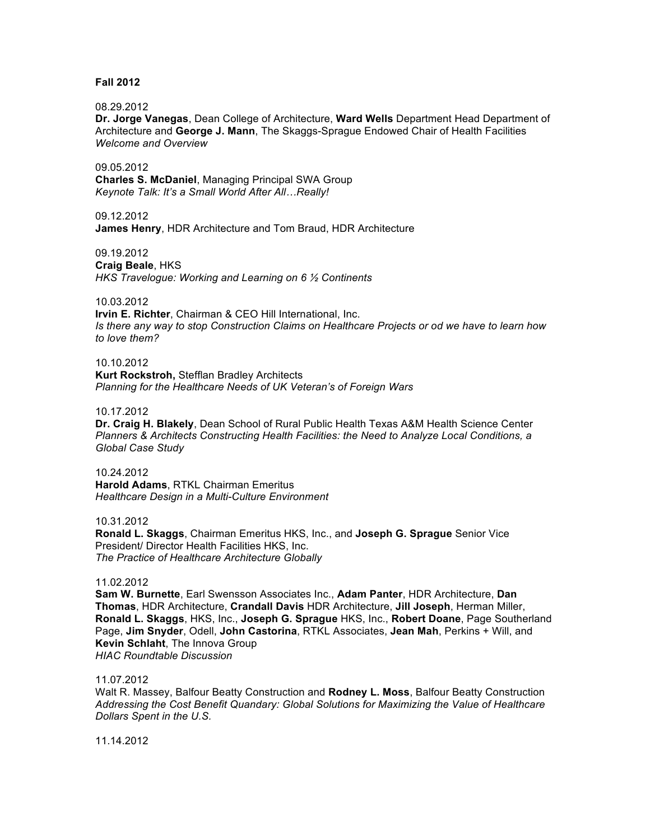# **Fall 2012**

### 08.29.2012

**Dr. Jorge Vanegas**, Dean College of Architecture, **Ward Wells** Department Head Department of Architecture and **George J. Mann**, The Skaggs-Sprague Endowed Chair of Health Facilities *Welcome and Overview*

09.05.2012

**Charles S. McDaniel**, Managing Principal SWA Group *Keynote Talk: It's a Small World After All…Really!*

09.12.2012

**James Henry**, HDR Architecture and Tom Braud, HDR Architecture

09.19.2012 **Craig Beale**, HKS *HKS Travelogue: Working and Learning on 6 ½ Continents*

10.03.2012

**Irvin E. Richter**, Chairman & CEO Hill International, Inc. *Is there any way to stop Construction Claims on Healthcare Projects or od we have to learn how to love them?*

10.10.2012 **Kurt Rockstroh,** Stefflan Bradley Architects *Planning for the Healthcare Needs of UK Veteran's of Foreign Wars*

10.17.2012

**Dr. Craig H. Blakely**, Dean School of Rural Public Health Texas A&M Health Science Center *Planners & Architects Constructing Health Facilities: the Need to Analyze Local Conditions, a Global Case Study*

10.24.2012 **Harold Adams**, RTKL Chairman Emeritus *Healthcare Design in a Multi-Culture Environment*

10.31.2012

**Ronald L. Skaggs**, Chairman Emeritus HKS, Inc., and **Joseph G. Sprague** Senior Vice President/ Director Health Facilities HKS, Inc. *The Practice of Healthcare Architecture Globally*

### 11.02.2012

**Sam W. Burnette**, Earl Swensson Associates Inc., **Adam Panter**, HDR Architecture, **Dan Thomas**, HDR Architecture, **Crandall Davis** HDR Architecture, **Jill Joseph**, Herman Miller, **Ronald L. Skaggs**, HKS, Inc., **Joseph G. Sprague** HKS, Inc., **Robert Doane**, Page Southerland Page, **Jim Snyder**, Odell, **John Castorina**, RTKL Associates, **Jean Mah**, Perkins + Will, and **Kevin Schlaht**, The Innova Group *HIAC Roundtable Discussion*

### 11.07.2012

Walt R. Massey, Balfour Beatty Construction and **Rodney L. Moss**, Balfour Beatty Construction *Addressing the Cost Benefit Quandary: Global Solutions for Maximizing the Value of Healthcare Dollars Spent in the U.S.*

11.14.2012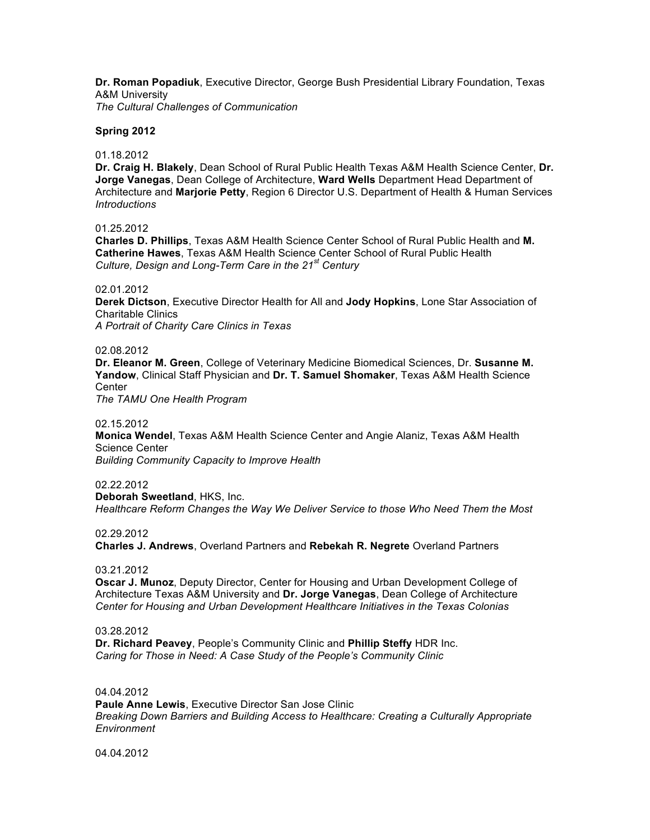**Dr. Roman Popadiuk**, Executive Director, George Bush Presidential Library Foundation, Texas A&M University *The Cultural Challenges of Communication*

**Spring 2012**

01.18.2012

**Dr. Craig H. Blakely**, Dean School of Rural Public Health Texas A&M Health Science Center, **Dr. Jorge Vanegas**, Dean College of Architecture, **Ward Wells** Department Head Department of Architecture and **Marjorie Petty**, Region 6 Director U.S. Department of Health & Human Services *Introductions*

01.25.2012

**Charles D. Phillips**, Texas A&M Health Science Center School of Rural Public Health and **M. Catherine Hawes**, Texas A&M Health Science Center School of Rural Public Health *Culture, Design and Long-Term Care in the 21st Century* 

02.01.2012

**Derek Dictson**, Executive Director Health for All and **Jody Hopkins**, Lone Star Association of Charitable Clinics

*A Portrait of Charity Care Clinics in Texas*

02.08.2012

**Dr. Eleanor M. Green**, College of Veterinary Medicine Biomedical Sciences, Dr. **Susanne M. Yandow**, Clinical Staff Physician and **Dr. T. Samuel Shomaker**, Texas A&M Health Science **Center** 

*The TAMU One Health Program*

02.15.2012

**Monica Wendel**, Texas A&M Health Science Center and Angie Alaniz, Texas A&M Health Science Center

*Building Community Capacity to Improve Health*

02.22.2012 **Deborah Sweetland**, HKS, Inc. *Healthcare Reform Changes the Way We Deliver Service to those Who Need Them the Most*

02.29.2012

**Charles J. Andrews**, Overland Partners and **Rebekah R. Negrete** Overland Partners

03.21.2012

**Oscar J. Munoz**, Deputy Director, Center for Housing and Urban Development College of Architecture Texas A&M University and **Dr. Jorge Vanegas**, Dean College of Architecture *Center for Housing and Urban Development Healthcare Initiatives in the Texas Colonias*

03.28.2012

**Dr. Richard Peavey**, People's Community Clinic and **Phillip Steffy** HDR Inc. *Caring for Those in Need: A Case Study of the People's Community Clinic*

04.04.2012 **Paule Anne Lewis**, Executive Director San Jose Clinic *Breaking Down Barriers and Building Access to Healthcare: Creating a Culturally Appropriate Environment*

04.04.2012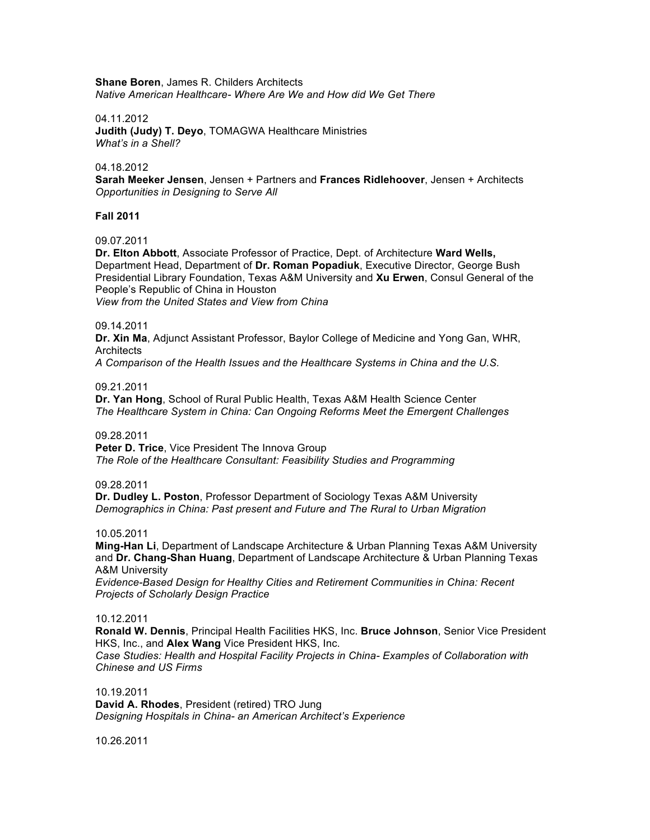**Shane Boren**, James R. Childers Architects *Native American Healthcare- Where Are We and How did We Get There*

## 04.11.2012

**Judith (Judy) T. Deyo**, TOMAGWA Healthcare Ministries *What's in a Shell?*

### 04.18.2012

**Sarah Meeker Jensen**, Jensen + Partners and **Frances Ridlehoover**, Jensen + Architects *Opportunities in Designing to Serve All*

## **Fall 2011**

09.07.2011

**Dr. Elton Abbott**, Associate Professor of Practice, Dept. of Architecture **Ward Wells,**  Department Head, Department of **Dr. Roman Popadiuk**, Executive Director, George Bush Presidential Library Foundation, Texas A&M University and **Xu Erwen**, Consul General of the People's Republic of China in Houston *View from the United States and View from China*

## 09.14.2011

**Dr. Xin Ma**, Adjunct Assistant Professor, Baylor College of Medicine and Yong Gan, WHR, **Architects** 

*A Comparison of the Health Issues and the Healthcare Systems in China and the U.S.*

## 09.21.2011

**Dr. Yan Hong**, School of Rural Public Health, Texas A&M Health Science Center *The Healthcare System in China: Can Ongoing Reforms Meet the Emergent Challenges*

## 09.28.2011

**Peter D. Trice.** Vice President The Innova Group *The Role of the Healthcare Consultant: Feasibility Studies and Programming*

### 09.28.2011

**Dr. Dudley L. Poston**, Professor Department of Sociology Texas A&M University *Demographics in China: Past present and Future and The Rural to Urban Migration*

### 10.05.2011

**Ming-Han Li**, Department of Landscape Architecture & Urban Planning Texas A&M University and **Dr. Chang-Shan Huang**, Department of Landscape Architecture & Urban Planning Texas A&M University

*Evidence-Based Design for Healthy Cities and Retirement Communities in China: Recent Projects of Scholarly Design Practice*

### 10.12.2011

**Ronald W. Dennis**, Principal Health Facilities HKS, Inc. **Bruce Johnson**, Senior Vice President HKS, Inc., and **Alex Wang** Vice President HKS, Inc.

*Case Studies: Health and Hospital Facility Projects in China- Examples of Collaboration with Chinese and US Firms*

10.19.2011

**David A. Rhodes**, President (retired) TRO Jung *Designing Hospitals in China- an American Architect's Experience*

10.26.2011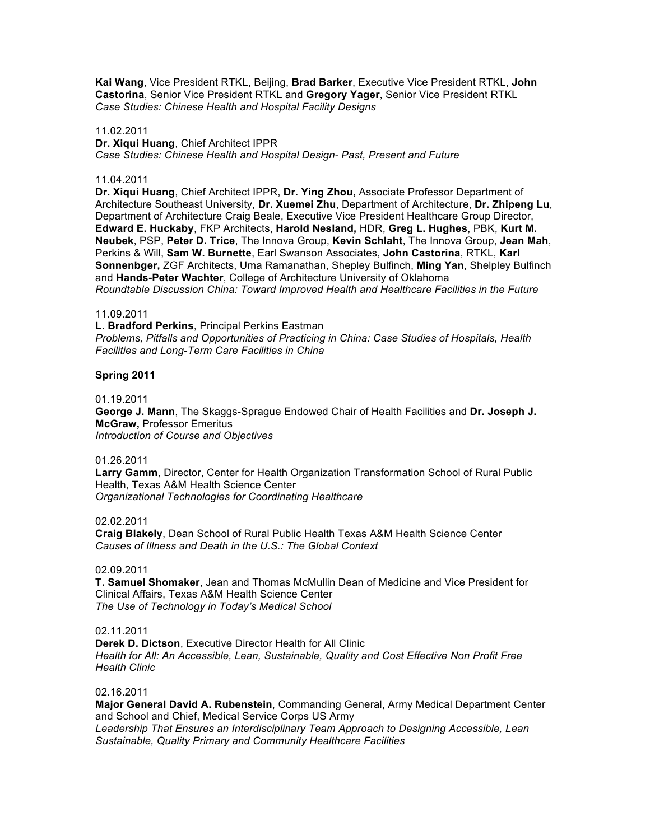**Kai Wang**, Vice President RTKL, Beijing, **Brad Barker**, Executive Vice President RTKL, **John Castorina**, Senior Vice President RTKL and **Gregory Yager**, Senior Vice President RTKL *Case Studies: Chinese Health and Hospital Facility Designs*

### 11.02.2011

**Dr. Xiqui Huang**, Chief Architect IPPR *Case Studies: Chinese Health and Hospital Design- Past, Present and Future*

## 11.04.2011

**Dr. Xiqui Huang**, Chief Architect IPPR, **Dr. Ying Zhou,** Associate Professor Department of Architecture Southeast University, **Dr. Xuemei Zhu**, Department of Architecture, **Dr. Zhipeng Lu**, Department of Architecture Craig Beale, Executive Vice President Healthcare Group Director, **Edward E. Huckaby**, FKP Architects, **Harold Nesland,** HDR, **Greg L. Hughes**, PBK, **Kurt M. Neubek**, PSP, **Peter D. Trice**, The Innova Group, **Kevin Schlaht**, The Innova Group, **Jean Mah**, Perkins & Will, **Sam W. Burnette**, Earl Swanson Associates, **John Castorina**, RTKL, **Karl Sonnenbger,** ZGF Architects, Uma Ramanathan, Shepley Bulfinch, **Ming Yan**, Shelpley Bulfinch and **Hands-Peter Wachter**, College of Architecture University of Oklahoma *Roundtable Discussion China: Toward Improved Health and Healthcare Facilities in the Future*

### 11.09.2011

**L. Bradford Perkins**, Principal Perkins Eastman *Problems, Pitfalls and Opportunities of Practicing in China: Case Studies of Hospitals, Health Facilities and Long-Term Care Facilities in China*

## **Spring 2011**

### 01.19.2011

**George J. Mann**, The Skaggs-Sprague Endowed Chair of Health Facilities and **Dr. Joseph J. McGraw,** Professor Emeritus *Introduction of Course and Objectives*

### 01.26.2011

**Larry Gamm**, Director, Center for Health Organization Transformation School of Rural Public Health, Texas A&M Health Science Center *Organizational Technologies for Coordinating Healthcare*

### 02.02.2011

**Craig Blakely**, Dean School of Rural Public Health Texas A&M Health Science Center *Causes of Illness and Death in the U.S.: The Global Context*

## 02.09.2011

**T. Samuel Shomaker**, Jean and Thomas McMullin Dean of Medicine and Vice President for Clinical Affairs, Texas A&M Health Science Center *The Use of Technology in Today's Medical School*

# 02.11.2011

**Derek D. Dictson**, Executive Director Health for All Clinic *Health for All: An Accessible, Lean, Sustainable, Quality and Cost Effective Non Profit Free Health Clinic*

### 02.16.2011

**Major General David A. Rubenstein**, Commanding General, Army Medical Department Center and School and Chief, Medical Service Corps US Army *Leadership That Ensures an Interdisciplinary Team Approach to Designing Accessible, Lean Sustainable, Quality Primary and Community Healthcare Facilities*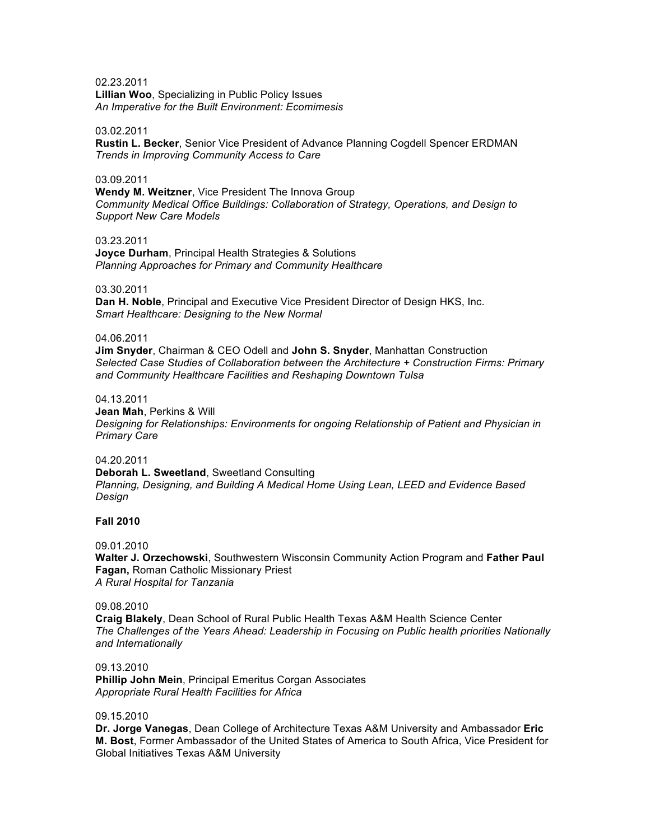02.23.2011 **Lillian Woo**, Specializing in Public Policy Issues *An Imperative for the Built Environment: Ecomimesis*

### 03.02.2011

**Rustin L. Becker**, Senior Vice President of Advance Planning Cogdell Spencer ERDMAN *Trends in Improving Community Access to Care*

# 03.09.2011

**Wendy M. Weitzner**, Vice President The Innova Group *Community Medical Office Buildings: Collaboration of Strategy, Operations, and Design to Support New Care Models*

# 03.23.2011

**Joyce Durham**, Principal Health Strategies & Solutions *Planning Approaches for Primary and Community Healthcare*

### 03.30.2011

**Dan H. Noble**, Principal and Executive Vice President Director of Design HKS, Inc. *Smart Healthcare: Designing to the New Normal*

### 04.06.2011

**Jim Snyder**, Chairman & CEO Odell and **John S. Snyder**, Manhattan Construction *Selected Case Studies of Collaboration between the Architecture + Construction Firms: Primary and Community Healthcare Facilities and Reshaping Downtown Tulsa*

## 04.13.2011

**Jean Mah**, Perkins & Will *Designing for Relationships: Environments for ongoing Relationship of Patient and Physician in Primary Care*

# 04.20.2011

**Deborah L. Sweetland**, Sweetland Consulting *Planning, Designing, and Building A Medical Home Using Lean, LEED and Evidence Based Design*

### **Fall 2010**

09.01.2010

**Walter J. Orzechowski**, Southwestern Wisconsin Community Action Program and **Father Paul Fagan,** Roman Catholic Missionary Priest *A Rural Hospital for Tanzania*

### 09.08.2010

**Craig Blakely**, Dean School of Rural Public Health Texas A&M Health Science Center *The Challenges of the Years Ahead: Leadership in Focusing on Public health priorities Nationally and Internationally*

# 09.13.2010

**Phillip John Mein**, Principal Emeritus Corgan Associates *Appropriate Rural Health Facilities for Africa*

### 09.15.2010

**Dr. Jorge Vanegas**, Dean College of Architecture Texas A&M University and Ambassador **Eric M. Bost**, Former Ambassador of the United States of America to South Africa, Vice President for Global Initiatives Texas A&M University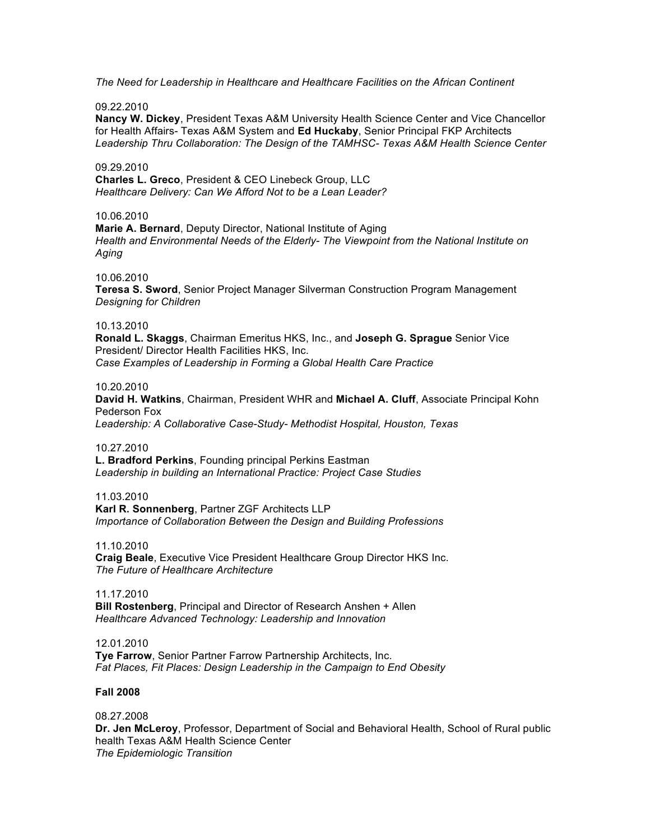*The Need for Leadership in Healthcare and Healthcare Facilities on the African Continent*

### 09.22.2010

**Nancy W. Dickey**, President Texas A&M University Health Science Center and Vice Chancellor for Health Affairs- Texas A&M System and **Ed Huckaby**, Senior Principal FKP Architects *Leadership Thru Collaboration: The Design of the TAMHSC- Texas A&M Health Science Center*

## 09.29.2010

**Charles L. Greco**, President & CEO Linebeck Group, LLC *Healthcare Delivery: Can We Afford Not to be a Lean Leader?*

### 10.06.2010

**Marie A. Bernard**, Deputy Director, National Institute of Aging *Health and Environmental Needs of the Elderly- The Viewpoint from the National Institute on Aging*

## 10.06.2010

**Teresa S. Sword**, Senior Project Manager Silverman Construction Program Management *Designing for Children*

## 10.13.2010

**Ronald L. Skaggs**, Chairman Emeritus HKS, Inc., and **Joseph G. Sprague** Senior Vice President/ Director Health Facilities HKS, Inc. *Case Examples of Leadership in Forming a Global Health Care Practice*

## 10.20.2010

**David H. Watkins**, Chairman, President WHR and **Michael A. Cluff**, Associate Principal Kohn Pederson Fox *Leadership: A Collaborative Case-Study- Methodist Hospital, Houston, Texas*

### 10.27.2010

**L. Bradford Perkins**, Founding principal Perkins Eastman *Leadership in building an International Practice: Project Case Studies*

### 11.03.2010

**Karl R. Sonnenberg**, Partner ZGF Architects LLP *Importance of Collaboration Between the Design and Building Professions*

### 11.10.2010

**Craig Beale**, Executive Vice President Healthcare Group Director HKS Inc. *The Future of Healthcare Architecture*

# 11.17.2010

**Bill Rostenberg**, Principal and Director of Research Anshen + Allen *Healthcare Advanced Technology: Leadership and Innovation*

### 12.01.2010

**Tye Farrow**, Senior Partner Farrow Partnership Architects, Inc. *Fat Places, Fit Places: Design Leadership in the Campaign to End Obesity*

### **Fall 2008**

### 08.27.2008

**Dr. Jen McLeroy**, Professor, Department of Social and Behavioral Health, School of Rural public health Texas A&M Health Science Center *The Epidemiologic Transition*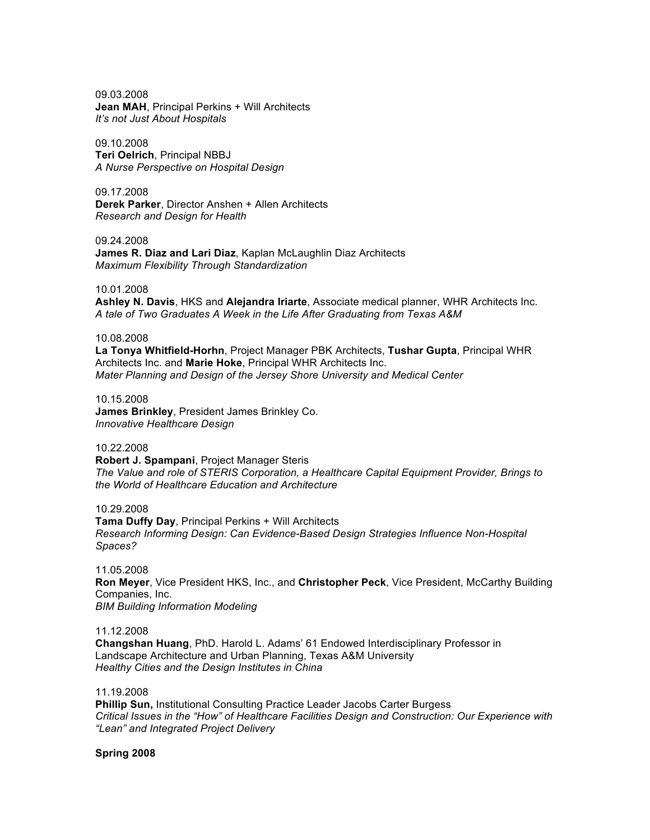09.03.2008 **Jean MAH**, Principal Perkins + Will Architects *It's not Just About Hospitals*

09.10.2008 **Teri Oelrich**, Principal NBBJ *A Nurse Perspective on Hospital Design*

09.17.2008 **Derek Parker**, Director Anshen + Allen Architects *Research and Design for Health*

09.24.2008 **James R. Diaz and Lari Diaz**, Kaplan McLaughlin Diaz Architects *Maximum Flexibility Through Standardization*

10.01.2008

**Ashley N. Davis**, HKS and **Alejandra Iriarte**, Associate medical planner, WHR Architects Inc. *A tale of Two Graduates A Week in the Life After Graduating from Texas A&M*

### 10.08.2008

**La Tonya Whitfield-Horhn**, Project Manager PBK Architects, **Tushar Gupta**, Principal WHR Architects Inc. and **Marie Hoke**, Principal WHR Architects Inc. *Mater Planning and Design of the Jersey Shore University and Medical Center*

10.15.2008

**James Brinkley**, President James Brinkley Co. *Innovative Healthcare Design*

### 10.22.2008

**Robert J. Spampani**, Project Manager Steris *The Value and role of STERIS Corporation, a Healthcare Capital Equipment Provider, Brings to the World of Healthcare Education and Architecture*

10.29.2008 **Tama Duffy Day**, Principal Perkins + Will Architects *Research Informing Design: Can Evidence-Based Design Strategies Influence Non-Hospital Spaces?*

11.05.2008 **Ron Meyer**, Vice President HKS, Inc., and **Christopher Peck**, Vice President, McCarthy Building Companies, Inc. *BIM Building Information Modeling*

11.12.2008 **Changshan Huang**, PhD. Harold L. Adams' 61 Endowed Interdisciplinary Professor in Landscape Architecture and Urban Planning, Texas A&M University *Healthy Cities and the Design Institutes in China*

11.19.2008

**Phillip Sun,** Institutional Consulting Practice Leader Jacobs Carter Burgess *Critical Issues in the "How" of Healthcare Facilities Design and Construction: Our Experience with "Lean" and Integrated Project Delivery*

**Spring 2008**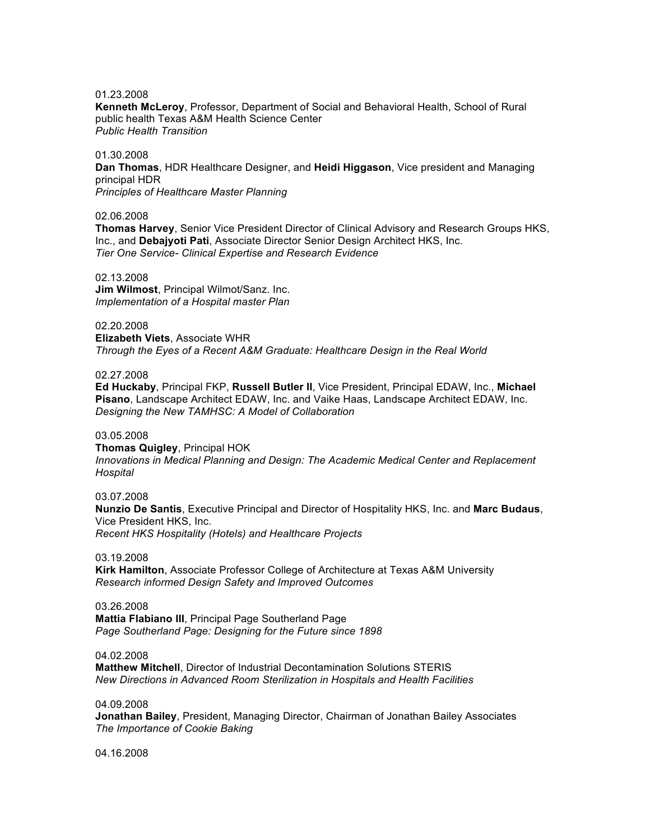## 01.23.2008

**Kenneth McLeroy**, Professor, Department of Social and Behavioral Health, School of Rural public health Texas A&M Health Science Center *Public Health Transition*

## 01.30.2008

**Dan Thomas**, HDR Healthcare Designer, and **Heidi Higgason**, Vice president and Managing principal HDR *Principles of Healthcare Master Planning*

### 02.06.2008

**Thomas Harvey**, Senior Vice President Director of Clinical Advisory and Research Groups HKS, Inc., and **Debajyoti Pati**, Associate Director Senior Design Architect HKS, Inc. *Tier One Service- Clinical Expertise and Research Evidence*

### 02.13.2008

**Jim Wilmost**, Principal Wilmot/Sanz. Inc. *Implementation of a Hospital master Plan*

# 02.20.2008

**Elizabeth Viets**, Associate WHR *Through the Eyes of a Recent A&M Graduate: Healthcare Design in the Real World*

### 02.27.2008

**Ed Huckaby**, Principal FKP, **Russell Butler II**, Vice President, Principal EDAW, Inc., **Michael Pisano**, Landscape Architect EDAW, Inc. and Vaike Haas, Landscape Architect EDAW, Inc. *Designing the New TAMHSC: A Model of Collaboration*

### 03.05.2008

**Thomas Quigley**, Principal HOK *Innovations in Medical Planning and Design: The Academic Medical Center and Replacement Hospital*

### 03.07.2008

**Nunzio De Santis**, Executive Principal and Director of Hospitality HKS, Inc. and **Marc Budaus**, Vice President HKS, Inc. *Recent HKS Hospitality (Hotels) and Healthcare Projects*

#### 03.19.2008

**Kirk Hamilton**, Associate Professor College of Architecture at Texas A&M University *Research informed Design Safety and Improved Outcomes*

## 03.26.2008

**Mattia Flabiano III**, Principal Page Southerland Page *Page Southerland Page: Designing for the Future since 1898*

### 04.02.2008

**Matthew Mitchell**, Director of Industrial Decontamination Solutions STERIS *New Directions in Advanced Room Sterilization in Hospitals and Health Facilities*

### 04.09.2008

**Jonathan Bailey**, President, Managing Director, Chairman of Jonathan Bailey Associates *The Importance of Cookie Baking*

04.16.2008